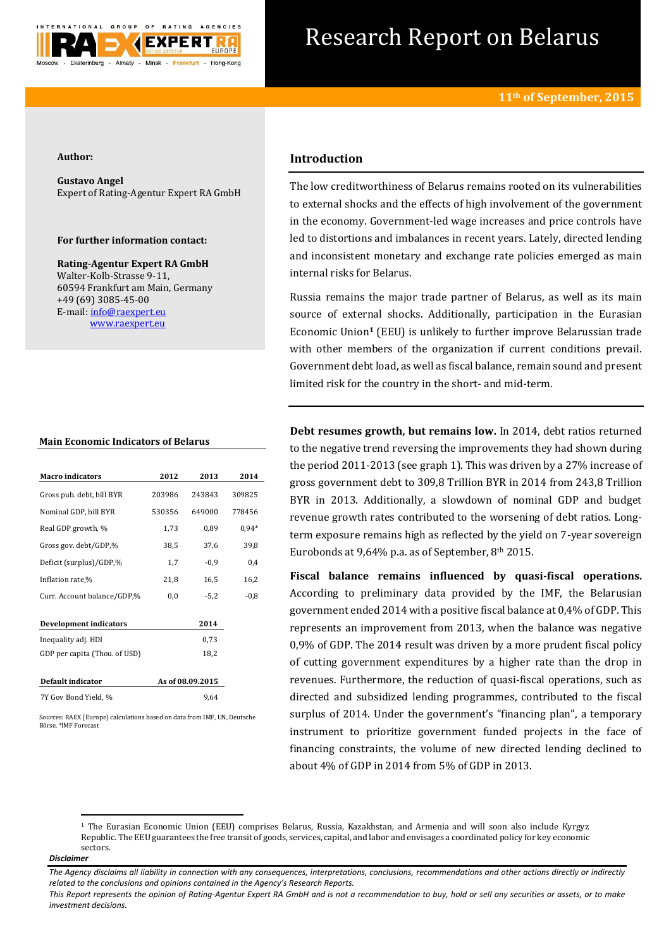

# Research Report on Belarus

#### **Author:**

**Gustavo Angel** Expert of Rating-Agentur Expert RA GmbH

### **For further information contact:**

**Rating-Agentur Expert RA GmbH** Walter-Kolb-Strasse 9-11, 60594 Frankfurt am Main, Germany +49 (69) 3085-45-00 E-mail[: info@raexpert.eu](mailto:info@raexpert.eu) [www.raexpert.eu](http://raexpert.eu/)

#### **Main Economic Indicators of Belarus**

| <b>Macro</b> indicators       | 2012             | 2013   | 2014    |
|-------------------------------|------------------|--------|---------|
| Gross pub. debt, bill BYR     | 203986           | 243843 | 309825  |
| Nominal GDP, bill BYR         | 530356           | 649000 | 778456  |
| Real GDP growth, %            | 1,73             | 0,89   | $0.94*$ |
| Gross gov. debt/GDP,%         | 38,5             | 37,6   | 39,8    |
| Deficit (surplus)/GDP,%       | 1,7              | $-0,9$ | 0,4     |
| Inflation rate,%              | 21,8             | 16,5   | 16,2    |
| Curr. Account balance/GDP,%   | 0,0              | $-5,2$ | $-0,8$  |
| <b>Development indicators</b> |                  | 2014   |         |
| Inequality adj. HDI           |                  | 0,73   |         |
| GDP per capita (Thou. of USD) |                  | 18,2   |         |
| Default indicator             | As of 08.09.2015 |        |         |
| 7Y Gov Bond Yield, %          |                  | 9,64   |         |

Sources: RAEX (Europe) calculations based on data from IMF, UN, Deutsche Börse. \*IMF Forecast

## **Introduction**

The low creditworthiness of Belarus remains rooted on its vulnerabilities to external shocks and the effects of high involvement of the government in the economy. Government-led wage increases and price controls have led to distortions and imbalances in recent years. Lately, directed lending and inconsistent monetary and exchange rate policies emerged as main internal risks for Belarus.

Russia remains the major trade partner of Belarus, as well as its main source of external shocks. Additionally, participation in the Eurasian Economic Union**<sup>1</sup>** (EEU) is unlikely to further improve Belarussian trade with other members of the organization if current conditions prevail. Government debt load, as well as fiscal balance, remain sound and present limited risk for the country in the short- and mid-term.

**Debt resumes growth, but remains low.** In 2014, debt ratios returned to the negative trend reversing the improvements they had shown during the period 2011-2013 (see graph 1). This was driven by a 27% increase of gross government debt to 309,8 Trillion BYR in 2014 from 243,8 Trillion BYR in 2013. Additionally, a slowdown of nominal GDP and budget revenue growth rates contributed to the worsening of debt ratios. Longterm exposure remains high as reflected by the yield on 7-year sovereign Eurobonds at  $9,64\%$  p.a. as of September,  $8<sup>th</sup>$  2015.

**Fiscal balance remains influenced by quasi-fiscal operations.** According to preliminary data provided by the IMF, the Belarusian government ended 2014 with a positive fiscal balance at 0,4% of GDP. This represents an improvement from 2013, when the balance was negative 0,9% of GDP. The 2014 result was driven by a more prudent fiscal policy of cutting government expenditures by a higher rate than the drop in revenues. Furthermore, the reduction of quasi-fiscal operations, such as directed and subsidized lending programmes, contributed to the fiscal surplus of 2014. Under the government's "financing plan", a temporary instrument to prioritize government funded projects in the face of financing constraints, the volume of new directed lending declined to about 4% of GDP in 2014 from 5% of GDP in 2013.

**.** 

<sup>1</sup> The Eurasian Economic Union (EEU) comprises Belarus, Russia, Kazakhstan, and Armenia and will soon also include Kyrgyz Republic. The EEU guarantees the free transit of goods, services, capital, and labor and envisages a coordinated policy for key economic sectors.

*Disclaimer* 

*The Agency disclaims all liability in connection with any consequences, interpretations, conclusions, recommendations and other actions directly or indirectly related to the conclusions and opinions contained in the Agency's Research Reports.*

*This Report represents the opinion of Rating-Agentur Expert RA GmbH and is not a recommendation to buy, hold or sell any securities or assets, or to make investment decisions.*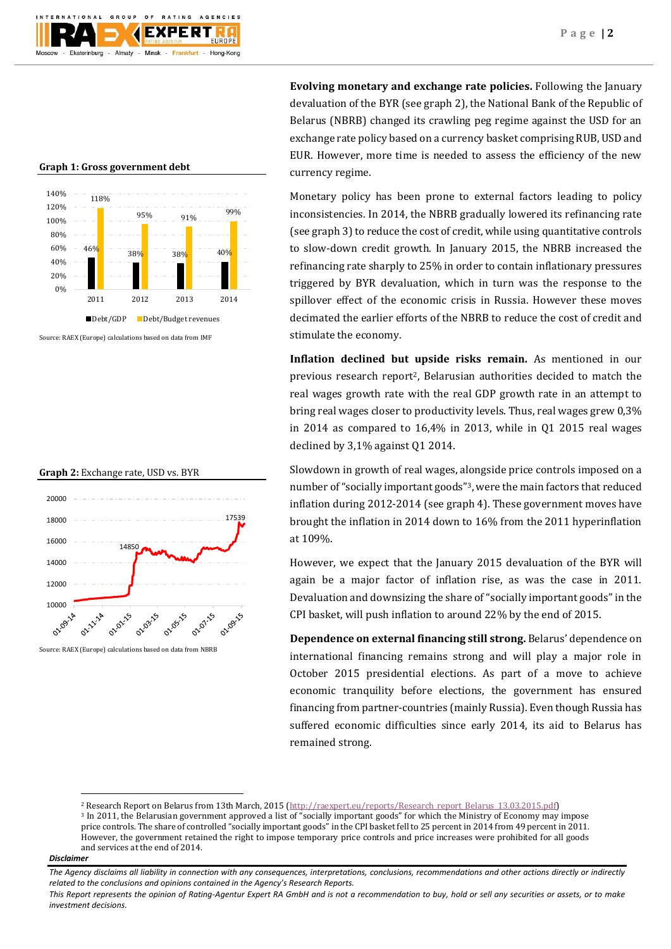## **Graph 1: Gross government debt**



Source: RAEX (Europe) calculations based on data from IMF





Source: RAEX (Europe) calculations based on data from NBRB

**Evolving monetary and exchange rate policies.** Following the January devaluation of the BYR (see graph 2), the National Bank of the Republic of Belarus (NBRB) changed its crawling peg regime against the USD for an exchange rate policy based on a currency basket comprising RUB, USD and EUR. However, more time is needed to assess the efficiency of the new currency regime.

Monetary policy has been prone to external factors leading to policy inconsistencies. In 2014, the NBRB gradually lowered its refinancing rate (see graph 3) to reduce the cost of credit, while using quantitative controls to slow-down credit growth. In January 2015, the NBRB increased the refinancing rate sharply to 25% in order to contain inflationary pressures triggered by BYR devaluation, which in turn was the response to the spillover effect of the economic crisis in Russia. However these moves decimated the earlier efforts of the NBRB to reduce the cost of credit and stimulate the economy.

**Inflation declined but upside risks remain.** As mentioned in our previous research report2, Belarusian authorities decided to match the real wages growth rate with the real GDP growth rate in an attempt to bring real wages closer to productivity levels. Thus, real wages grew 0,3% in 2014 as compared to 16,4% in 2013, while in Q1 2015 real wages declined by 3,1% against Q1 2014.

Slowdown in growth of real wages, alongside price controls imposed on a number of "socially important goods"3, were the main factors that reduced inflation during 2012-2014 (see graph 4). These government moves have brought the inflation in 2014 down to 16% from the 2011 hyperinflation at 109%.

However, we expect that the January 2015 devaluation of the BYR will again be a major factor of inflation rise, as was the case in 2011. Devaluation and downsizing the share of "socially important goods" in the CPI basket, will push inflation to around 22% by the end of 2015.

**Dependence on external financing still strong.** Belarus' dependence on international financing remains strong and will play a major role in October 2015 presidential elections. As part of a move to achieve economic tranquility before elections, the government has ensured financing from partner-countries (mainly Russia). Even though Russia has suffered economic difficulties since early 2014, its aid to Belarus has remained strong.

<sup>3</sup> In 2011, the Belarusian government approved a list of "socially important goods" for which the Ministry of Economy may impose price controls. The share of controlled "socially important goods" in the CPI basket fell to 25 percent in 2014 from 49 percent in 2011. However, the government retained the right to impose temporary price controls and price increases were prohibited for all goods and services at the end of 2014.

#### *Disclaimer*

**.** 

*This Report represents the opinion of Rating-Agentur Expert RA GmbH and is not a recommendation to buy, hold or sell any securities or assets, or to make investment decisions.*

<sup>&</sup>lt;sup>2</sup> Research Report on Belarus from 13th March, 2015 [\(http://raexpert.eu/reports/Research\\_report\\_Belarus\\_13.03.2015.pdf\)](http://raexpert.eu/reports/Research_report_Belarus_13.03.2015.pdf)

*The Agency disclaims all liability in connection with any consequences, interpretations, conclusions, recommendations and other actions directly or indirectly related to the conclusions and opinions contained in the Agency's Research Reports.*